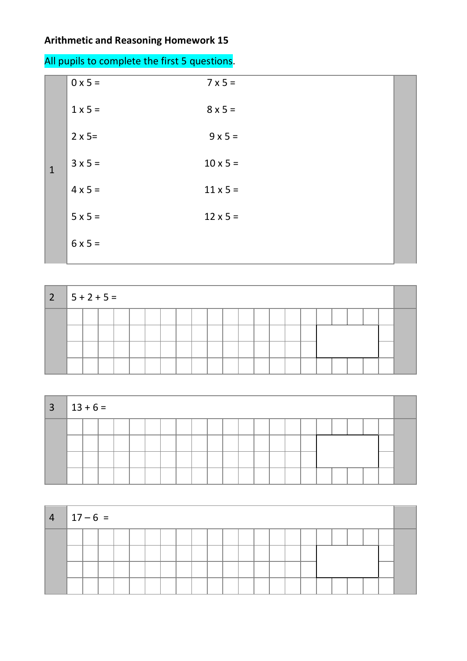## **Arithmetic and Reasoning Homework 15**

| $7 \times 5 =$  |  |
|-----------------|--|
| $8 \times 5 =$  |  |
| $9 \times 5 =$  |  |
| $10 \times 5 =$ |  |
| $11 \times 5 =$ |  |
| $12 \times 5 =$ |  |
|                 |  |
|                 |  |

| $ 2 5+2+5=$ |  |  |  |  |  |  |  |  |  |  |  |
|-------------|--|--|--|--|--|--|--|--|--|--|--|
|             |  |  |  |  |  |  |  |  |  |  |  |
|             |  |  |  |  |  |  |  |  |  |  |  |
|             |  |  |  |  |  |  |  |  |  |  |  |
|             |  |  |  |  |  |  |  |  |  |  |  |

| $3 \mid 13 + 6 =$ |  |  |  |  |  |  |  |  |  |  |  |
|-------------------|--|--|--|--|--|--|--|--|--|--|--|
|                   |  |  |  |  |  |  |  |  |  |  |  |
|                   |  |  |  |  |  |  |  |  |  |  |  |
|                   |  |  |  |  |  |  |  |  |  |  |  |
|                   |  |  |  |  |  |  |  |  |  |  |  |

| $ 4 17-6=$ |  |  |  |  |  |  |  |  |  |  |  |
|------------|--|--|--|--|--|--|--|--|--|--|--|
|            |  |  |  |  |  |  |  |  |  |  |  |
|            |  |  |  |  |  |  |  |  |  |  |  |
|            |  |  |  |  |  |  |  |  |  |  |  |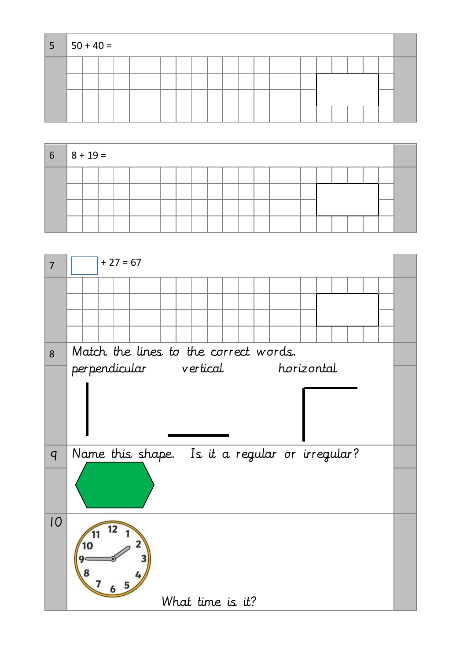| 5 <sup>5</sup> |  | $ 50 + 40 =$ |  |  |  |  |  |  |  |  |  |  |  |  |  |  |  |  |  |
|----------------|--|--------------|--|--|--|--|--|--|--|--|--|--|--|--|--|--|--|--|--|
|                |  |              |  |  |  |  |  |  |  |  |  |  |  |  |  |  |  |  |  |
|                |  |              |  |  |  |  |  |  |  |  |  |  |  |  |  |  |  |  |  |
|                |  |              |  |  |  |  |  |  |  |  |  |  |  |  |  |  |  |  |  |
|                |  |              |  |  |  |  |  |  |  |  |  |  |  |  |  |  |  |  |  |

| $6 \t   8 + 19 =$ |  |  |  |  |  |  |  |  |  |  |  |
|-------------------|--|--|--|--|--|--|--|--|--|--|--|
|                   |  |  |  |  |  |  |  |  |  |  |  |
|                   |  |  |  |  |  |  |  |  |  |  |  |
|                   |  |  |  |  |  |  |  |  |  |  |  |

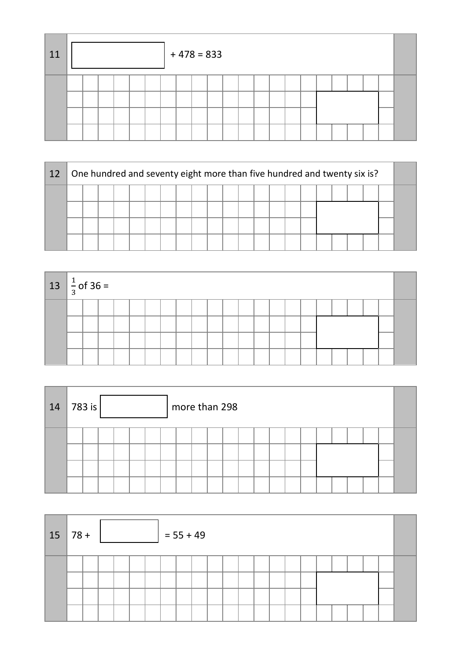| 11 |  |  |  | $+478=833$ |  |  |  |  |  |  |  |
|----|--|--|--|------------|--|--|--|--|--|--|--|
|    |  |  |  |            |  |  |  |  |  |  |  |

| 12 |  |  |  | One hundred and seventy eight more than five hundred and twenty six is? |  |  |  |  |  |  |  |  |  |  |  |  |  |  |  |
|----|--|--|--|-------------------------------------------------------------------------|--|--|--|--|--|--|--|--|--|--|--|--|--|--|--|
|    |  |  |  |                                                                         |  |  |  |  |  |  |  |  |  |  |  |  |  |  |  |
|    |  |  |  |                                                                         |  |  |  |  |  |  |  |  |  |  |  |  |  |  |  |
|    |  |  |  |                                                                         |  |  |  |  |  |  |  |  |  |  |  |  |  |  |  |
|    |  |  |  |                                                                         |  |  |  |  |  |  |  |  |  |  |  |  |  |  |  |

| $13 \left  \frac{1}{3} \right.$ of 36 = |  |  |  |  |  |  |  |  |  |  |  |
|-----------------------------------------|--|--|--|--|--|--|--|--|--|--|--|
|                                         |  |  |  |  |  |  |  |  |  |  |  |
|                                         |  |  |  |  |  |  |  |  |  |  |  |
|                                         |  |  |  |  |  |  |  |  |  |  |  |
|                                         |  |  |  |  |  |  |  |  |  |  |  |

| 14 | 783 is |  |  | more than 298 |  |  |  |  |  |  |  |
|----|--------|--|--|---------------|--|--|--|--|--|--|--|
|    |        |  |  |               |  |  |  |  |  |  |  |

| $15 \mid 78 +$ |  |  |  | $= 55 + 49$ |  |  |  |  |  |  |  |
|----------------|--|--|--|-------------|--|--|--|--|--|--|--|
|                |  |  |  |             |  |  |  |  |  |  |  |
|                |  |  |  |             |  |  |  |  |  |  |  |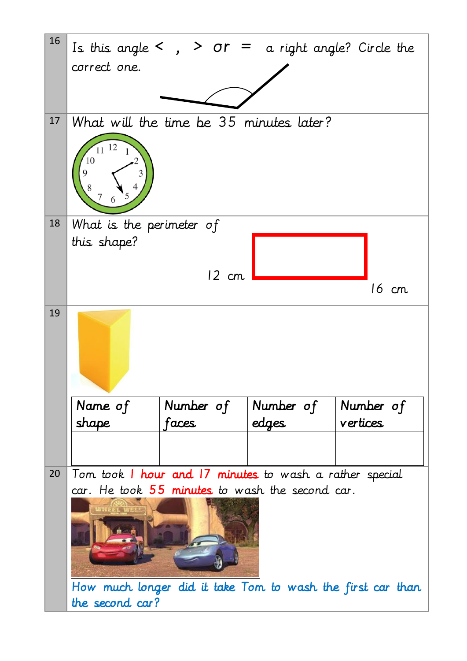